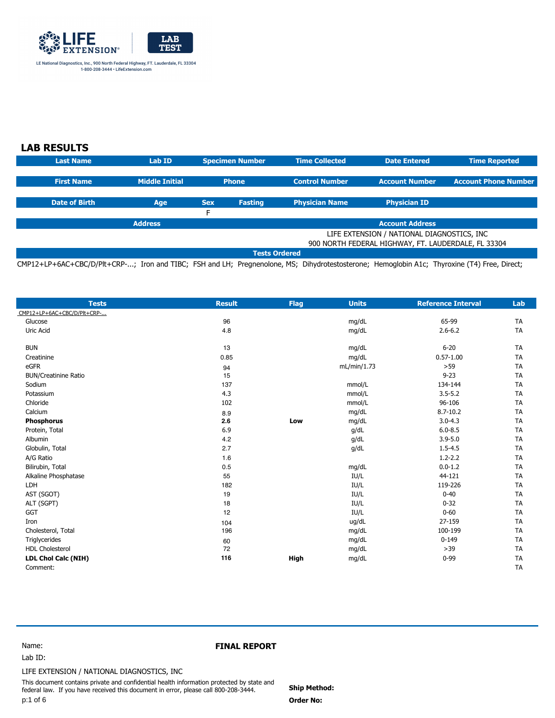

# **LAB RESULTS**

| <b>Last Name</b>                           | Lab ID                                              |            | <b>Specimen Number</b> | <b>Time Collected</b> | <b>Date Entered</b>   | <b>Time Reported</b>        |
|--------------------------------------------|-----------------------------------------------------|------------|------------------------|-----------------------|-----------------------|-----------------------------|
|                                            |                                                     |            |                        |                       |                       |                             |
| <b>First Name</b>                          | <b>Middle Initial</b>                               |            | <b>Phone</b>           | <b>Control Number</b> | <b>Account Number</b> | <b>Account Phone Number</b> |
|                                            |                                                     |            |                        |                       |                       |                             |
| <b>Date of Birth</b>                       | Age                                                 | <b>Sex</b> | <b>Fasting</b>         | <b>Physician Name</b> | <b>Physician ID</b>   |                             |
|                                            |                                                     | E          |                        |                       |                       |                             |
|                                            | <b>Address</b><br><b>Account Address</b>            |            |                        |                       |                       |                             |
| LIFE EXTENSION / NATIONAL DIAGNOSTICS, INC |                                                     |            |                        |                       |                       |                             |
|                                            | 900 NORTH FEDERAL HIGHWAY, FT. LAUDERDALE, FL 33304 |            |                        |                       |                       |                             |
| <b>Tests Ordered</b>                       |                                                     |            |                        |                       |                       |                             |

CMP12+LP+6AC+CBC/D/Plt+CRP-...; Iron and TIBC; FSH and LH; Pregnenolone, MS; Dihydrotestosterone; Hemoglobin A1c; Thyroxine (T4) Free, Direct;

| <b>Tests</b>                | <b>Result</b> | <b>Flag</b> | <b>Units</b> | <b>Reference Interval</b> | Lab       |
|-----------------------------|---------------|-------------|--------------|---------------------------|-----------|
| CMP12+LP+6AC+CBC/D/Plt+CRP- |               |             |              |                           |           |
| Glucose                     | 96            |             | mg/dL        | 65-99                     | <b>TA</b> |
| Uric Acid                   | 4.8           |             | mg/dL        | $2.6 - 6.2$               | <b>TA</b> |
| <b>BUN</b>                  | 13            |             | mg/dL        | $6 - 20$                  | <b>TA</b> |
| Creatinine                  | 0.85          |             | mg/dL        | $0.57 - 1.00$             | <b>TA</b> |
| eGFR                        | 94            |             | mL/min/1.73  | $>59$                     | <b>TA</b> |
| <b>BUN/Creatinine Ratio</b> | 15            |             |              | $9 - 23$                  | <b>TA</b> |
| Sodium                      | 137           |             | mmol/L       | 134-144                   | <b>TA</b> |
| Potassium                   | 4.3           |             | mmol/L       | $3.5 - 5.2$               | <b>TA</b> |
| Chloride                    | 102           |             | mmol/L       | 96-106                    | <b>TA</b> |
| Calcium                     | 8.9           |             | mg/dL        | $8.7 - 10.2$              | <b>TA</b> |
| <b>Phosphorus</b>           | 2.6           | Low         | mg/dL        | $3.0 - 4.3$               | <b>TA</b> |
| Protein, Total              | 6.9           |             | q/dL         | $6.0 - 8.5$               | <b>TA</b> |
| Albumin                     | 4.2           |             | g/dL         | $3.9 - 5.0$               | <b>TA</b> |
| Globulin, Total             | 2.7           |             | g/dL         | $1.5 - 4.5$               | <b>TA</b> |
| A/G Ratio                   | 1.6           |             |              | $1.2 - 2.2$               | <b>TA</b> |
| Bilirubin, Total            | 0.5           |             | mg/dL        | $0.0 - 1.2$               | <b>TA</b> |
| Alkaline Phosphatase        | 55            |             | IU/L         | 44-121                    | <b>TA</b> |
| LDH                         | 182           |             | IU/L         | 119-226                   | <b>TA</b> |
| AST (SGOT)                  | 19            |             | IU/L         | $0 - 40$                  | <b>TA</b> |
| ALT (SGPT)                  | 18            |             | IU/L         | $0 - 32$                  | <b>TA</b> |
| <b>GGT</b>                  | 12            |             | IU/L         | $0 - 60$                  | <b>TA</b> |
| Iron                        | 104           |             | ug/dL        | 27-159                    | <b>TA</b> |
| Cholesterol, Total          | 196           |             | mg/dL        | 100-199                   | <b>TA</b> |
| Triglycerides               | 60            |             | mg/dL        | $0 - 149$                 | <b>TA</b> |
| <b>HDL Cholesterol</b>      | 72            |             | mg/dL        | $>39$                     | <b>TA</b> |
| <b>LDL Chol Calc (NIH)</b>  | 116           | High        | mg/dL        | $0 - 99$                  | <b>TA</b> |
| Comment:                    |               |             |              |                           | <b>TA</b> |

Lab ID: Name:

## **FINAL REPORT**

LIFE EXTENSION / NATIONAL DIAGNOSTICS, INC

This document contains private and confidential health information protected by state and federal law. If you have received this document in error, please call 800-208-3444. p:1 of 6

 **Order No: Ship Method:**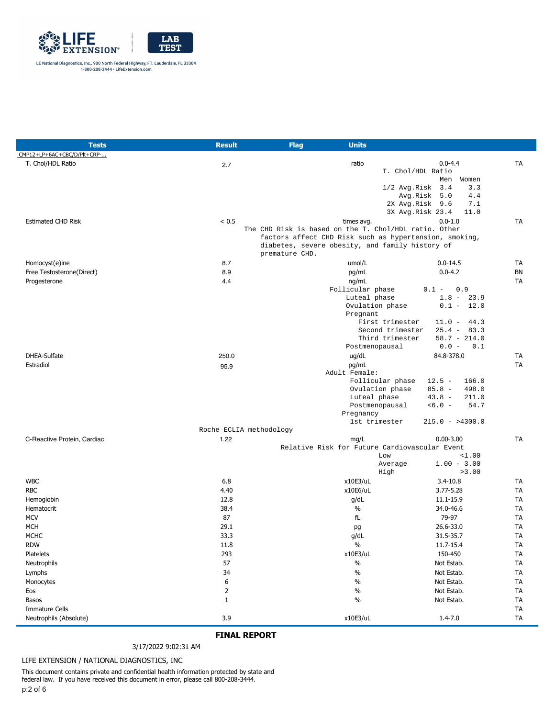

| <b>Tests</b>                | <b>Result</b>           | <b>Flag</b>    | <b>Units</b>                                           |                              |           |
|-----------------------------|-------------------------|----------------|--------------------------------------------------------|------------------------------|-----------|
| CMP12+LP+6AC+CBC/D/Plt+CRP- |                         |                |                                                        |                              |           |
| T. Chol/HDL Ratio           | 2.7                     |                | ratio                                                  | $0.0 - 4.4$                  | <b>TA</b> |
|                             |                         |                |                                                        | T. Chol/HDL Ratio            |           |
|                             |                         |                |                                                        | Men<br>Women                 |           |
|                             |                         |                |                                                        | $1/2$ Avg. Risk $3.4$<br>3.3 |           |
|                             |                         |                |                                                        | 4.4<br>Avg.Risk 5.0          |           |
|                             |                         |                |                                                        | 2X Avg.Risk 9.6<br>7.1       |           |
|                             |                         |                |                                                        | 3X Avg.Risk 23.4<br>11.0     |           |
| <b>Estimated CHD Risk</b>   | < 0.5                   |                | times avg.                                             | $0.0 - 1.0$                  | <b>TA</b> |
|                             |                         |                | The CHD Risk is based on the T. Chol/HDL ratio. Other  |                              |           |
|                             |                         |                | factors affect CHD Risk such as hypertension, smoking, |                              |           |
|                             |                         | premature CHD. | diabetes, severe obesity, and family history of        |                              |           |
|                             |                         |                |                                                        |                              |           |
| Homocyst(e)ine              | 8.7                     |                | umol/L                                                 | $0.0 - 14.5$                 | <b>TA</b> |
| Free Testosterone(Direct)   | 8.9                     |                | pg/mL                                                  | $0.0 - 4.2$                  | BN        |
| Progesterone                | 4.4                     |                | ng/mL                                                  |                              | <b>TA</b> |
|                             |                         |                | Follicular phase                                       | $0.1 -$<br>0.9               |           |
|                             |                         |                | Luteal phase<br>Ovulation phase                        | $1.8 - 23.9$<br>$0.1 - 12.0$ |           |
|                             |                         |                | Pregnant                                               |                              |           |
|                             |                         |                | First trimester                                        | $11.0 - 44.3$                |           |
|                             |                         |                | Second trimester                                       | $25.4 - 83.3$                |           |
|                             |                         |                | Third trimester                                        | $58.7 - 214.0$               |           |
|                             |                         |                | Postmenopausal                                         | $0.0 -$<br>0.1               |           |
| DHEA-Sulfate                | 250.0                   |                | ug/dL                                                  | 84.8-378.0                   | TA        |
| Estradiol                   | 95.9                    |                | pg/mL                                                  |                              | <b>TA</b> |
|                             |                         |                | Adult Female:                                          |                              |           |
|                             |                         |                | Follicular phase                                       | $12.5 -$<br>166.0            |           |
|                             |                         |                | Ovulation phase                                        | $85.8 -$<br>498.0            |           |
|                             |                         |                | Luteal phase                                           | $43.8 -$<br>211.0            |           |
|                             |                         |                | Postmenopausal                                         | $<6.0 -$<br>54.7             |           |
|                             |                         |                | Pregnancy                                              |                              |           |
|                             |                         |                | 1st trimester                                          | $215.0 - 24300.0$            |           |
|                             | Roche ECLIA methodology |                |                                                        |                              |           |
| C-Reactive Protein, Cardiac | 1.22                    |                | mg/L                                                   | $0.00 - 3.00$                | <b>TA</b> |
|                             |                         |                | Relative Risk for Future Cardiovascular Event          |                              |           |
|                             |                         |                | Low                                                    | <1.00                        |           |
|                             |                         |                | Average                                                | $1.00 - 3.00$                |           |
|                             |                         |                | High                                                   | >3.00                        |           |
| <b>WBC</b>                  | 6.8                     |                | x10E3/uL                                               | $3.4 - 10.8$                 | TA        |
| <b>RBC</b>                  | 4.40                    |                | x10E6/uL                                               | $3.77 - 5.28$                | TA        |
| Hemoglobin                  | 12.8                    |                | g/dL                                                   | 11.1-15.9                    | TA        |
| Hematocrit                  | 38.4                    |                | $\%$                                                   | 34.0-46.6                    | TA        |
| <b>MCV</b>                  | 87                      |                | fL                                                     | 79-97                        | <b>TA</b> |
| <b>MCH</b>                  | 29.1                    |                | pg                                                     | 26.6-33.0                    | <b>TA</b> |
| <b>MCHC</b>                 | 33.3                    |                | q/dL                                                   | 31.5-35.7                    | TA        |
| RDW                         | 11.8                    |                | $\%$                                                   | 11.7-15.4                    | TA        |
| Platelets                   | 293                     |                | x10E3/uL                                               | 150-450                      | TA        |
| Neutrophils                 | 57                      |                | $\%$                                                   | Not Estab.                   | TA        |
| Lymphs                      | 34                      |                | $\%$                                                   | Not Estab.                   | TA        |
| Monocytes                   | 6                       |                | $\%$                                                   | Not Estab.                   | TA        |
| Eos                         | $\overline{2}$          |                | $\%$                                                   | Not Estab.                   | TA        |
| Basos                       | $\mathbf{1}$            |                | $\%$                                                   | Not Estab.                   | TA        |
| <b>Immature Cells</b>       |                         |                |                                                        |                              | <b>TA</b> |
| Neutrophils (Absolute)      | 3.9                     |                | x10E3/uL                                               | $1.4 - 7.0$                  | TA        |
|                             |                         |                |                                                        |                              |           |

#### 3/17/2022 9:02:31 AM

#### LIFE EXTENSION / NATIONAL DIAGNOSTICS, INC

This document contains private and confidential health information protected by state and federal law. If you have received this document in error, please call 800-208-3444. p:2 of 6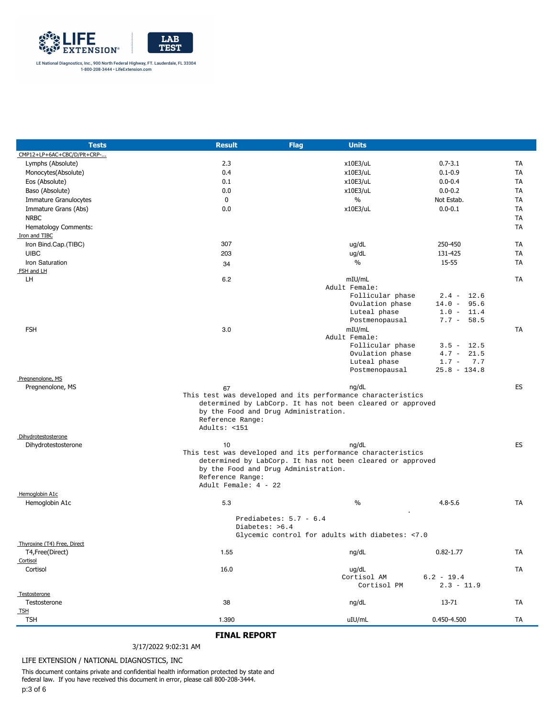

| <b>Tests</b>                  | <b>Result</b>                            | Flag                     | <b>Units</b>                                                |                              |           |
|-------------------------------|------------------------------------------|--------------------------|-------------------------------------------------------------|------------------------------|-----------|
| CMP12+LP+6AC+CBC/D/Plt+CRP-   |                                          |                          |                                                             |                              |           |
| Lymphs (Absolute)             | 2.3                                      |                          | x10E3/uL                                                    | $0.7 - 3.1$                  | TA        |
| Monocytes(Absolute)           | 0.4                                      |                          | x10E3/uL                                                    | $0.1 - 0.9$                  | TA        |
| Eos (Absolute)                | 0.1                                      |                          | x10E3/uL                                                    | $0.0 - 0.4$                  | TA        |
| Baso (Absolute)               | 0.0                                      |                          | x10E3/uL                                                    | $0.0 - 0.2$                  | TA        |
| <b>Immature Granulocytes</b>  | $\mathbf{0}$                             |                          | $\%$                                                        | Not Estab.                   | TA        |
| Immature Grans (Abs)          | 0.0                                      |                          | x10E3/uL                                                    | $0.0 - 0.1$                  | <b>TA</b> |
| <b>NRBC</b>                   |                                          |                          |                                                             |                              | <b>TA</b> |
| Hematology Comments:          |                                          |                          |                                                             |                              | TA        |
| Iron and TIBC                 |                                          |                          |                                                             |                              |           |
| Iron Bind.Cap.(TIBC)          | 307                                      |                          | ug/dL                                                       | 250-450                      | TA        |
| <b>UIBC</b>                   | 203                                      |                          | ug/dL                                                       | 131-425                      | TA        |
| Iron Saturation               | 34                                       |                          | $\%$                                                        | 15-55                        | TA        |
| FSH and LH                    |                                          |                          |                                                             |                              |           |
| LH                            | 6.2                                      |                          | mIU/mL                                                      |                              | TA        |
|                               |                                          |                          | Adult Female:                                               |                              |           |
|                               |                                          |                          | Follicular phase                                            | $2.4 - 12.6$                 |           |
|                               |                                          |                          | Ovulation phase                                             | $14.0 - 95.6$                |           |
|                               |                                          |                          | Luteal phase                                                | $1.0 - 11.4$<br>$7.7 - 58.5$ |           |
|                               |                                          |                          | Postmenopausal                                              |                              |           |
| <b>FSH</b>                    | 3.0                                      |                          | mIU/mL<br>Adult Female:                                     |                              | TA        |
|                               |                                          |                          | Follicular phase                                            | $3.5 - 12.5$                 |           |
|                               |                                          |                          | Ovulation phase                                             | $4.7 -$<br>21.5              |           |
|                               |                                          |                          | Luteal phase                                                | $1.7 - 7.7$                  |           |
|                               |                                          |                          | Postmenopausal                                              | $25.8 - 134.8$               |           |
| Pregnenolone, MS              |                                          |                          |                                                             |                              |           |
| Pregnenolone, MS              | 67                                       |                          | nq/dL                                                       |                              | ES        |
|                               |                                          |                          | This test was developed and its performance characteristics |                              |           |
|                               | by the Food and Drug Administration.     |                          | determined by LabCorp. It has not been cleared or approved  |                              |           |
|                               | Reference Range:                         |                          |                                                             |                              |           |
|                               | Adults: <151                             |                          |                                                             |                              |           |
| Dihydrotestosterone           |                                          |                          |                                                             |                              |           |
| Dihydrotestosterone           | 10                                       |                          | ng/dL                                                       |                              | <b>ES</b> |
|                               |                                          |                          | This test was developed and its performance characteristics |                              |           |
|                               |                                          |                          | determined by LabCorp. It has not been cleared or approved  |                              |           |
|                               | by the Food and Drug Administration.     |                          |                                                             |                              |           |
|                               | Reference Range:<br>Adult Female: 4 - 22 |                          |                                                             |                              |           |
| Hemoglobin A1c                |                                          |                          |                                                             |                              |           |
| Hemoglobin A1c                | 5.3                                      |                          | $\%$                                                        | $4.8 - 5.6$                  | TA        |
|                               |                                          |                          |                                                             |                              |           |
|                               |                                          | Prediabetes: $5.7 - 6.4$ |                                                             |                              |           |
|                               | Diabetes: >6.4                           |                          |                                                             |                              |           |
|                               |                                          |                          | Glycemic control for adults with diabetes: < 7.0            |                              |           |
| Thyroxine (T4) Free, Direct   |                                          |                          |                                                             |                              |           |
| T4, Free (Direct)<br>Cortisol | 1.55                                     |                          | ng/dL                                                       | $0.82 - 1.77$                | TA        |
| Cortisol                      | 16.0                                     |                          | ug/dL                                                       |                              | TA        |
|                               |                                          |                          | Cortisol AM                                                 | $6.2 - 19.4$                 |           |
|                               |                                          |                          | Cortisol PM                                                 | $2.3 - 11.9$                 |           |
| Testosterone                  |                                          |                          |                                                             |                              |           |
| Testosterone                  | 38                                       |                          | ng/dL                                                       | 13-71                        | TA        |
| <b>TSH</b>                    |                                          |                          |                                                             |                              |           |
| <b>TSH</b>                    | 1.390                                    |                          | uIU/mL                                                      | 0.450-4.500                  | TA        |

#### 3/17/2022 9:02:31 AM

#### LIFE EXTENSION / NATIONAL DIAGNOSTICS, INC

This document contains private and confidential health information protected by state and federal law. If you have received this document in error, please call 800-208-3444. p:3 of 6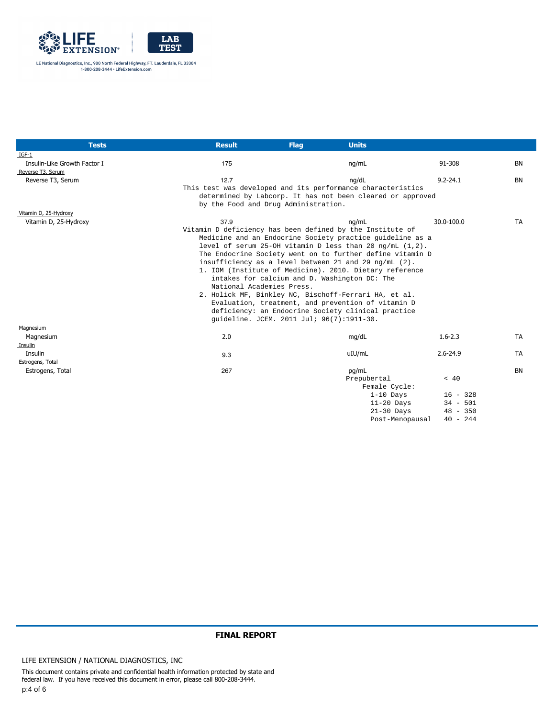

| <b>Tests</b>                 | <b>Result</b>                        | <b>Flag</b>                               | <b>Units</b>                                                   |                          |           |
|------------------------------|--------------------------------------|-------------------------------------------|----------------------------------------------------------------|--------------------------|-----------|
| $IGF-1$                      |                                      |                                           |                                                                |                          |           |
| Insulin-Like Growth Factor I | 175                                  |                                           | ng/mL                                                          | 91-308                   | BN        |
| Reverse T3, Serum            |                                      |                                           |                                                                |                          |           |
| Reverse T3, Serum            | 12.7                                 |                                           | ng/dL                                                          | $9.2 - 24.1$             | <b>BN</b> |
|                              |                                      |                                           | This test was developed and its performance characteristics    |                          |           |
|                              |                                      |                                           | determined by Labcorp. It has not been cleared or approved     |                          |           |
|                              | by the Food and Drug Administration. |                                           |                                                                |                          |           |
| Vitamin D, 25-Hydroxy        |                                      |                                           |                                                                |                          |           |
| Vitamin D, 25-Hydroxy        | 37.9                                 |                                           | na/mL                                                          | 30.0-100.0               | <b>TA</b> |
|                              |                                      |                                           | Vitamin D deficiency has been defined by the Institute of      |                          |           |
|                              |                                      |                                           | Medicine and an Endocrine Society practice quideline as a      |                          |           |
|                              |                                      |                                           | level of serum 25-OH vitamin D less than 20 ng/mL $(1,2)$ .    |                          |           |
|                              |                                      |                                           | The Endocrine Society went on to further define vitamin D      |                          |           |
|                              |                                      |                                           | insufficiency as a level between 21 and 29 $\text{ng/mL}$ (2). |                          |           |
|                              |                                      |                                           | 1. IOM (Institute of Medicine). 2010. Dietary reference        |                          |           |
|                              |                                      |                                           | intakes for calcium and D. Washington DC: The                  |                          |           |
|                              | National Academies Press.            |                                           |                                                                |                          |           |
|                              |                                      |                                           | 2. Holick MF, Binkley NC, Bischoff-Ferrari HA, et al.          |                          |           |
|                              |                                      |                                           | Evaluation, treatment, and prevention of vitamin D             |                          |           |
|                              |                                      |                                           | deficiency: an Endocrine Society clinical practice             |                          |           |
|                              |                                      | quideline. JCEM. 2011 Jul; 96(7):1911-30. |                                                                |                          |           |
| Magnesium                    |                                      |                                           |                                                                |                          |           |
| Magnesium                    | 2.0                                  |                                           | mg/dL                                                          | $1.6 - 2.3$              | <b>TA</b> |
| Insulin                      |                                      |                                           |                                                                |                          |           |
| Insulin                      | 9.3                                  |                                           | uIU/mL                                                         | $2.6 - 24.9$             | <b>TA</b> |
| Estrogens, Total             |                                      |                                           |                                                                |                          |           |
| Estrogens, Total             | 267                                  |                                           | pg/mL                                                          |                          | <b>BN</b> |
|                              |                                      |                                           | Prepubertal                                                    | < 40                     |           |
|                              |                                      |                                           | Female Cycle:                                                  |                          |           |
|                              |                                      |                                           | $1-10$ Days<br>$11-20$ Days                                    | $16 - 328$<br>$34 - 501$ |           |
|                              |                                      |                                           | $21-30$ Days                                                   | $48 - 350$               |           |
|                              |                                      |                                           | Post-Menopausal                                                | $40 - 244$               |           |
|                              |                                      |                                           |                                                                |                          |           |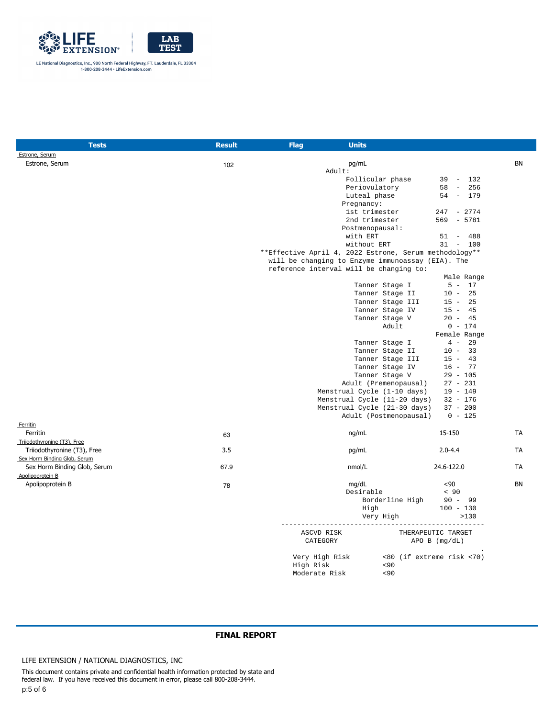

| Tests                        | <b>Result</b> | <b>Units</b><br><b>Flag</b>                            |                              |                           |           |
|------------------------------|---------------|--------------------------------------------------------|------------------------------|---------------------------|-----------|
| Estrone, Serum               |               |                                                        |                              |                           |           |
| Estrone, Serum               | 102           | pg/mL                                                  |                              |                           | <b>BN</b> |
|                              |               | Adult:                                                 |                              |                           |           |
|                              |               |                                                        | Follicular phase             | $39 - 132$                |           |
|                              |               |                                                        | Periovulatory                | $58 -$<br>256             |           |
|                              |               |                                                        | Luteal phase                 | 54 - 179                  |           |
|                              |               | Pregnancy:                                             |                              |                           |           |
|                              |               |                                                        | 1st trimester                | $247 - 2774$              |           |
|                              |               |                                                        | 2nd trimester                | $569 - 5781$              |           |
|                              |               |                                                        | Postmenopausal:              |                           |           |
|                              |               | with ERT                                               |                              | 488<br>$51 -$             |           |
|                              |               |                                                        | without ERT                  | $31 - 100$                |           |
|                              |               | **Effective April 4, 2022 Estrone, Serum methodology** |                              |                           |           |
|                              |               | will be changing to Enzyme immunoassay (EIA). The      |                              |                           |           |
|                              |               | reference interval will be changing to:                |                              |                           |           |
|                              |               |                                                        |                              | Male Range                |           |
|                              |               |                                                        | Tanner Stage I               | $5 - 17$                  |           |
|                              |               |                                                        | Tanner Stage II              | $10 -$<br>25              |           |
|                              |               |                                                        | Tanner Stage III             | $15 -$<br>25              |           |
|                              |               |                                                        | Tanner Stage IV              | $15 - 45$                 |           |
|                              |               |                                                        | Tanner Stage V               | $20 - 45$                 |           |
|                              |               |                                                        | Adult                        | $0 - 174$                 |           |
|                              |               |                                                        |                              | Female Range              |           |
|                              |               |                                                        | Tanner Stage I               | $4 -$<br>29               |           |
|                              |               |                                                        | Tanner Stage II              | $10 -$<br>33              |           |
|                              |               |                                                        | Tanner Stage III             | $15 - 43$                 |           |
|                              |               |                                                        | Tanner Stage IV              | $16 - 77$                 |           |
|                              |               |                                                        | Tanner Stage V               | $29 - 105$                |           |
|                              |               |                                                        | Adult (Premenopausal)        | $27 - 231$                |           |
|                              |               |                                                        | Menstrual Cycle (1-10 days)  | $19 - 149$                |           |
|                              |               |                                                        | Menstrual Cycle (11-20 days) | $32 - 176$                |           |
|                              |               |                                                        | Menstrual Cycle (21-30 days) | $37 - 200$                |           |
|                              |               |                                                        | Adult (Postmenopausal)       | $0 - 125$                 |           |
| Ferritin                     |               |                                                        |                              |                           |           |
| Ferritin                     | 63            | ng/mL                                                  |                              | 15-150                    | TA        |
| Triiodothyronine (T3), Free  |               |                                                        |                              |                           |           |
| Triiodothyronine (T3), Free  | 3.5           | pg/mL                                                  |                              | $2.0 - 4.4$               | <b>TA</b> |
| Sex Horm Binding Glob, Serum |               |                                                        |                              |                           |           |
|                              | 67.9          |                                                        |                              |                           | <b>TA</b> |
| Sex Horm Binding Glob, Serum |               | nmol/L                                                 |                              | 24.6-122.0                |           |
| Apolipoprotein B             |               |                                                        |                              |                           |           |
| Apolipoprotein B             | 78            | mg/dL                                                  |                              | $90$                      | <b>BN</b> |
|                              |               |                                                        | Desirable                    | < 90                      |           |
|                              |               |                                                        | Borderline High              | $90 - 99$                 |           |
|                              |               |                                                        | High                         | $100 - 130$               |           |
|                              |               |                                                        | Very High                    | >130                      |           |
|                              |               |                                                        |                              |                           |           |
|                              |               | ASCVD RISK                                             |                              | THERAPEUTIC TARGET        |           |
|                              |               | CATEGORY                                               |                              | $APO$ B $(mq/dL)$         |           |
|                              |               |                                                        |                              |                           |           |
|                              |               | Very High Risk                                         |                              | <80 (if extreme risk <70) |           |
|                              |               | High Risk                                              | < 90                         |                           |           |
|                              |               | Moderate Risk                                          | 30 <sub>0</sub>              |                           |           |

LIFE EXTENSION / NATIONAL DIAGNOSTICS, INC

This document contains private and confidential health information protected by state and federal law. If you have received this document in error, please call 800-208-3444. p:5 of 6